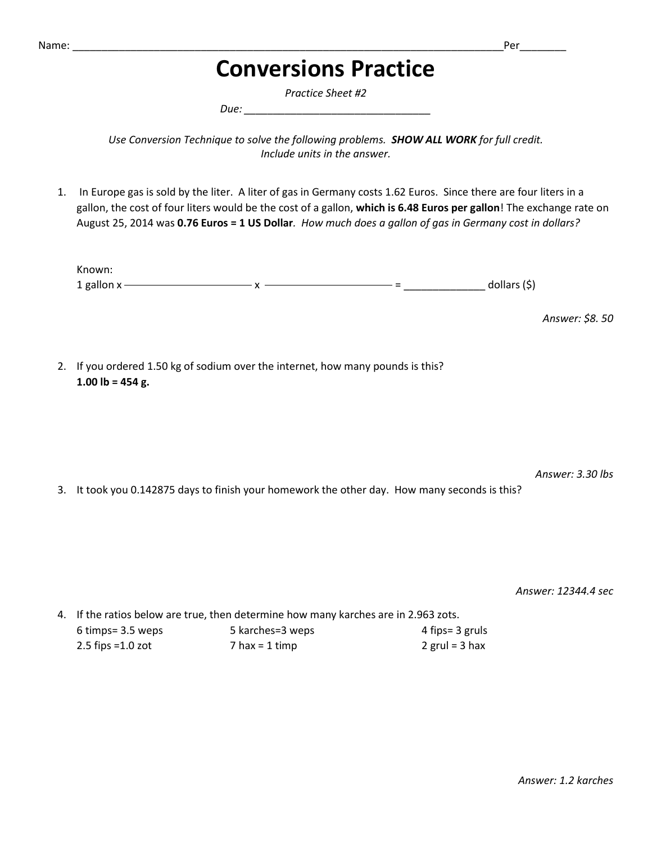## **Conversions Practice**

*Practice Sheet #2*

*Due: \_\_\_\_\_\_\_\_\_\_\_\_\_\_\_\_\_\_\_\_\_\_\_\_\_\_\_\_\_\_\_\_*

*Use Conversion Technique to solve the following problems. SHOW ALL WORK for full credit. Include units in the answer.*

1. In Europe gas is sold by the liter. A liter of gas in Germany costs 1.62 Euros. Since there are four liters in a gallon, the cost of four liters would be the cost of a gallon, **which is 6.48 Euros per gallon**! The exchange rate on August 25, 2014 was **0.76 Euros = 1 US Dollar***. How much does a gallon of gas in Germany cost in dollars?*

| Known:         |   |               |
|----------------|---|---------------|
| 1 gallon $x -$ | - | dollars $(5)$ |

*Answer: \$8. 50* 

2. If you ordered 1.50 kg of sodium over the internet, how many pounds is this? **1.00 lb = 454 g.**

*Answer: 3.30 lbs*

3. It took you 0.142875 days to finish your homework the other day. How many seconds is this?

*Answer: 12344.4 sec*

4. If the ratios below are true, then determine how many karches are in 2.963 zots. 6 timps= 3.5 weps 5 karches=3 weps 4 fips= 3 gruls 2.5 fips =1.0 zot  $2 \text{ rad} = 2 \text{ rad} = 3 \text{ rad}$